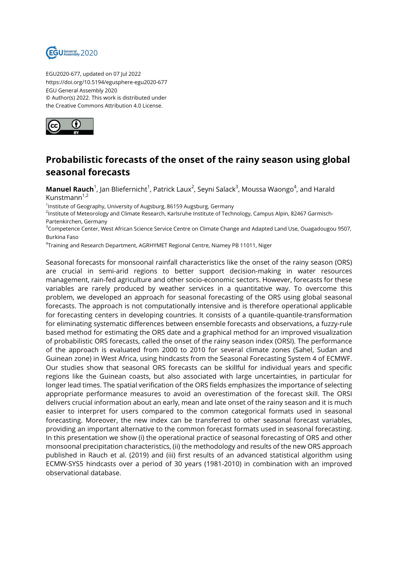

EGU2020-677, updated on 07 Jul 2022 https://doi.org/10.5194/egusphere-egu2020-677 EGU General Assembly 2020 © Author(s) 2022. This work is distributed under the Creative Commons Attribution 4.0 License.



## **Probabilistic forecasts of the onset of the rainy season using global seasonal forecasts**

**Manuel Rauch**<sup>1</sup>, Jan Bliefernicht<sup>1</sup>, Patrick Laux<sup>2</sup>, Seyni Salack<sup>3</sup>, Moussa Waongo<sup>4</sup>, and Harald Kunstmann $1,2$ 

<sup>1</sup>Institute of Geography, University of Augsburg, 86159 Augsburg, Germany

<sup>2</sup>Institute of Meteorology and Climate Research, Karlsruhe Institute of Technology, Campus Alpin, 82467 Garmisch-Partenkirchen, Germany

<sup>3</sup>Competence Center, West African Science Service Centre on Climate Change and Adapted Land Use, Ouagadougou 9507, Burkina Faso

4 Training and Research Department, AGRHYMET Regional Centre, Niamey PB 11011, Niger

Seasonal forecasts for monsoonal rainfall characteristics like the onset of the rainy season (ORS) are crucial in semi-arid regions to better support decision-making in water resources management, rain-fed agriculture and other socio-economic sectors. However, forecasts for these variables are rarely produced by weather services in a quantitative way. To overcome this problem, we developed an approach for seasonal forecasting of the ORS using global seasonal forecasts. The approach is not computationally intensive and is therefore operational applicable for forecasting centers in developing countries. It consists of a quantile-quantile-transformation for eliminating systematic differences between ensemble forecasts and observations, a fuzzy-rule based method for estimating the ORS date and a graphical method for an improved visualization of probabilistic ORS forecasts, called the onset of the rainy season index (ORSI). The performance of the approach is evaluated from 2000 to 2010 for several climate zones (Sahel, Sudan and Guinean zone) in West Africa, using hindcasts from the Seasonal Forecasting System 4 of ECMWF. Our studies show that seasonal ORS forecasts can be skillful for individual years and specific regions like the Guinean coasts, but also associated with large uncertainties, in particular for longer lead times. The spatial verification of the ORS fields emphasizes the importance of selecting appropriate performance measures to avoid an overestimation of the forecast skill. The ORSI delivers crucial information about an early, mean and late onset of the rainy season and it is much easier to interpret for users compared to the common categorical formats used in seasonal forecasting. Moreover, the new index can be transferred to other seasonal forecast variables, providing an important alternative to the common forecast formats used in seasonal forecasting. In this presentation we show (i) the operational practice of seasonal forecasting of ORS and other monsoonal precipitation characteristics, (ii) the methodology and results of the new ORS approach published in Rauch et al. (2019) and (iii) first results of an advanced statistical algorithm using ECMW-SYS5 hindcasts over a period of 30 years (1981-2010) in combination with an improved observational database.